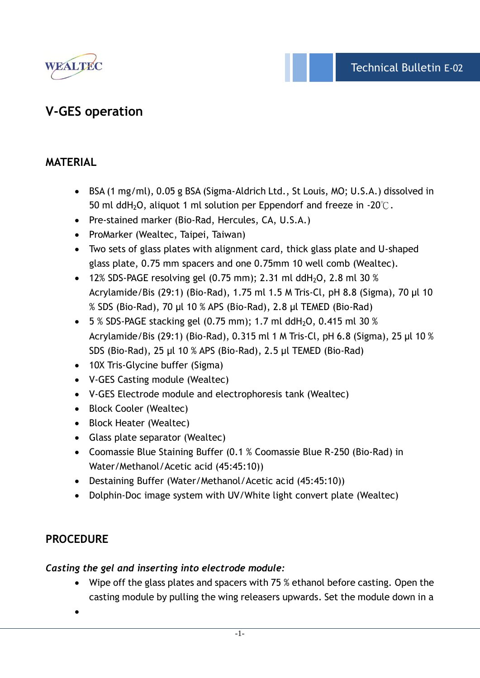

# **V-GES operation**

### **MATERIAL**

- BSA (1 mg/ml), 0.05 g BSA (Sigma-Aldrich Ltd., St Louis, MO; U.S.A.) dissolved in 50 ml ddH<sub>2</sub>O, aliquot 1 ml solution per Eppendorf and freeze in -20 $\degree$ C.
- Pre-stained marker (Bio-Rad, Hercules, CA, U.S.A.)
- ProMarker (Wealtec, Taipei, Taiwan)
- Two sets of glass plates with alignment card, thick glass plate and U-shaped glass plate, 0.75 mm spacers and one 0.75mm 10 well comb (Wealtec).
- 12% SDS-PAGE resolving gel  $(0.75 \text{ mm})$ ; 2.31 ml ddH<sub>2</sub>O, 2.8 ml 30 % Acrylamide/Bis (29:1) (Bio-Rad), 1.75 ml 1.5 M Tris-Cl, pH 8.8 (Sigma), 70 μl 10 % SDS (Bio-Rad), 70 μl 10 % APS (Bio-Rad), 2.8 μl TEMED (Bio-Rad)
- $\bullet$  5 % SDS-PAGE stacking gel (0.75 mm); 1.7 ml ddH<sub>2</sub>O, 0.415 ml 30 % Acrylamide/Bis (29:1) (Bio-Rad), 0.315 ml 1 M Tris-Cl, pH 6.8 (Sigma), 25 µl 10 % SDS (Bio-Rad), 25 µl 10 % APS (Bio-Rad), 2.5 µl TEMED (Bio-Rad)
- 10X Tris-Glycine buffer (Sigma)
- V-GES Casting module (Wealtec)
- V-GES Electrode module and electrophoresis tank (Wealtec)
- Block Cooler (Wealtec)
- Block Heater (Wealtec)
- Glass plate separator (Wealtec)
- Coomassie Blue Staining Buffer (0.1 % Coomassie Blue R-250 (Bio-Rad) in Water/Methanol/Acetic acid (45:45:10))
- Destaining Buffer (Water/Methanol/Acetic acid (45:45:10))
- Dolphin-Doc image system with UV/White light convert plate (Wealtec)

### **PROCEDURE**

### *Casting the gel and inserting into electrode module:*

 Wipe off the glass plates and spacers with 75 % ethanol before casting. Open the casting module by pulling the wing releasers upwards. Set the module down in a

 $\bullet$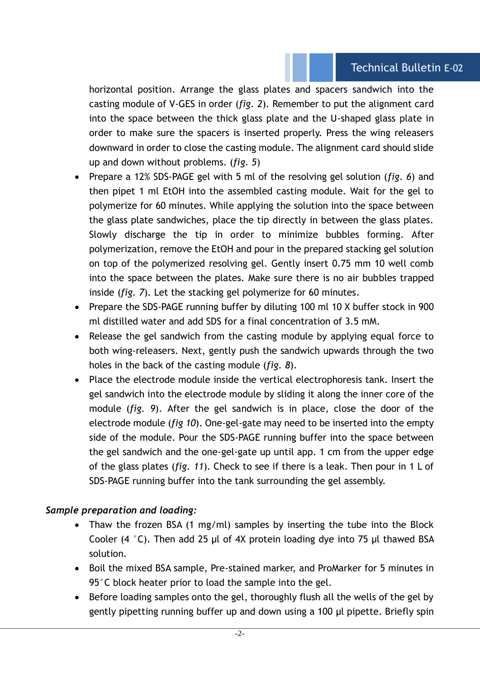### Technical Bulletin E-02

horizontal position. Arrange the glass plates and spacers sandwich into the casting module of V-GES in order (*fig. 2*). Remember to put the alignment card into the space between the thick glass plate and the U-shaped glass plate in order to make sure the spacers is inserted properly. Press the wing releasers downward in order to close the casting module. The alignment card should slide up and down without problems. (*fig. 5*)

- Prepare a 12% SDS-PAGE gel with 5 ml of the resolving gel solution (*fig. 6*) and then pipet 1 ml EtOH into the assembled casting module. Wait for the gel to polymerize for 60 minutes. While applying the solution into the space between the glass plate sandwiches, place the tip directly in between the glass plates. Slowly discharge the tip in order to minimize bubbles forming. After polymerization, remove the EtOH and pour in the prepared stacking gel solution on top of the polymerized resolving gel. Gently insert 0.75 mm 10 well comb into the space between the plates. Make sure there is no air bubbles trapped inside (*fig. 7*). Let the stacking gel polymerize for 60 minutes.
- Prepare the SDS-PAGE running buffer by diluting 100 ml 10 X buffer stock in 900 ml distilled water and add SDS for a final concentration of 3.5 mM.
- Release the gel sandwich from the casting module by applying equal force to both wing-releasers. Next, gently push the sandwich upwards through the two holes in the back of the casting module (*fig. 8*).
- Place the electrode module inside the vertical electrophoresis tank. Insert the gel sandwich into the electrode module by sliding it along the inner core of the module (*fig. 9*). After the gel sandwich is in place, close the door of the electrode module (*fig 10*). One-gel-gate may need to be inserted into the empty side of the module. Pour the SDS-PAGE running buffer into the space between the gel sandwich and the one-gel-gate up until app. 1 cm from the upper edge of the glass plates (*fig. 11*). Check to see if there is a leak. Then pour in 1 L of SDS-PAGE running buffer into the tank surrounding the gel assembly.

### *Sample preparation and loading:*

- Thaw the frozen BSA (1 mg/ml) samples by inserting the tube into the Block Cooler (4 °C). Then add 25 μl of 4X protein loading dye into 75 μl thawed BSA solution.
- Boil the mixed BSA sample, Pre-stained marker, and ProMarker for 5 minutes in 95°C block heater prior to load the sample into the gel.
- Before loading samples onto the gel, thoroughly flush all the wells of the gel by gently pipetting running buffer up and down using a 100 μl pipette. Briefly spin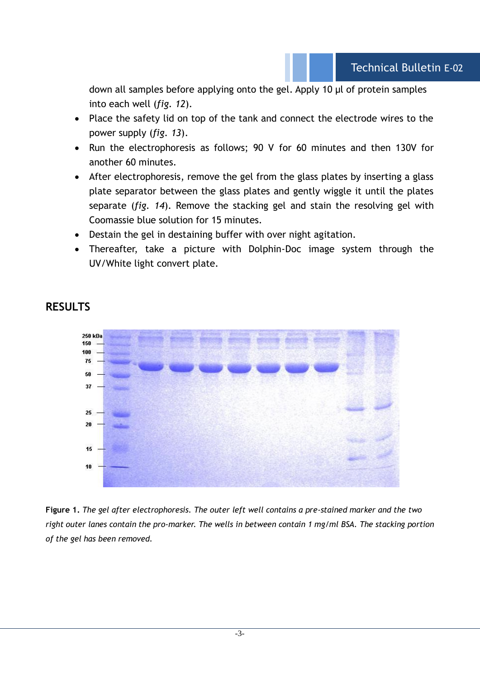down all samples before applying onto the gel. Apply 10 μl of protein samples into each well (*fig. 12*).

- Place the safety lid on top of the tank and connect the electrode wires to the power supply (*fig. 13*).
- Run the electrophoresis as follows; 90 V for 60 minutes and then 130V for another 60 minutes.
- After electrophoresis, remove the gel from the glass plates by inserting a glass plate separator between the glass plates and gently wiggle it until the plates separate (*fig. 14*). Remove the stacking gel and stain the resolving gel with Coomassie blue solution for 15 minutes.
- Destain the gel in destaining buffer with over night agitation.
- Thereafter, take a picture with Dolphin-Doc image system through the UV/White light convert plate.



# **RESULTS**

**Figure 1.** *The gel after electrophoresis. The outer left well contains a pre-stained marker and the two right outer lanes contain the pro-marker. The wells in between contain 1 mg/ml BSA. The stacking portion of the gel has been removed.*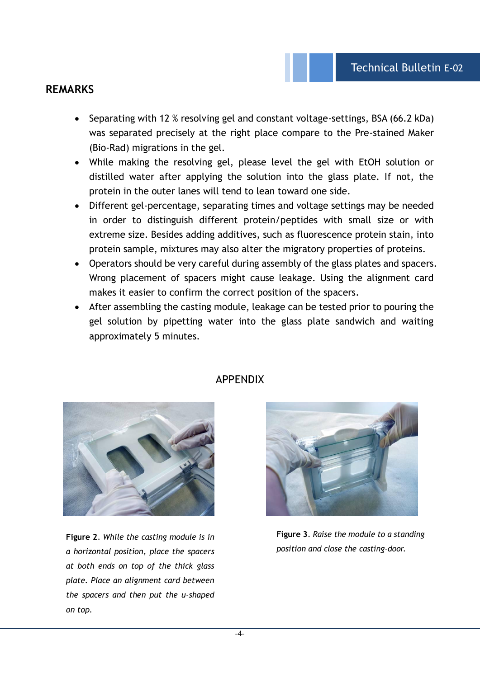#### **REMARKS**

- Separating with 12 % resolving gel and constant voltage-settings, BSA (66.2 kDa) was separated precisely at the right place compare to the Pre-stained Maker (Bio-Rad) migrations in the gel.
- While making the resolving gel, please level the gel with EtOH solution or distilled water after applying the solution into the glass plate. If not, the protein in the outer lanes will tend to lean toward one side.
- Different gel-percentage, separating times and voltage settings may be needed in order to distinguish different protein/peptides with small size or with extreme size. Besides adding additives, such as fluorescence protein stain, into protein sample, mixtures may also alter the migratory properties of proteins.
- Operators should be very careful during assembly of the glass plates and spacers. Wrong placement of spacers might cause leakage. Using the alignment card makes it easier to confirm the correct position of the spacers.
- After assembling the casting module, leakage can be tested prior to pouring the gel solution by pipetting water into the glass plate sandwich and waiting approximately 5 minutes.



**Figure 2**. *While the casting module is in a horizontal position, place the spacers at both ends on top of the thick glass plate. Place an alignment card between the spacers and then put the u-shaped on top.*

### APPENDIX



**Figure 3**. *Raise the module to a standing position and close the casting-door.*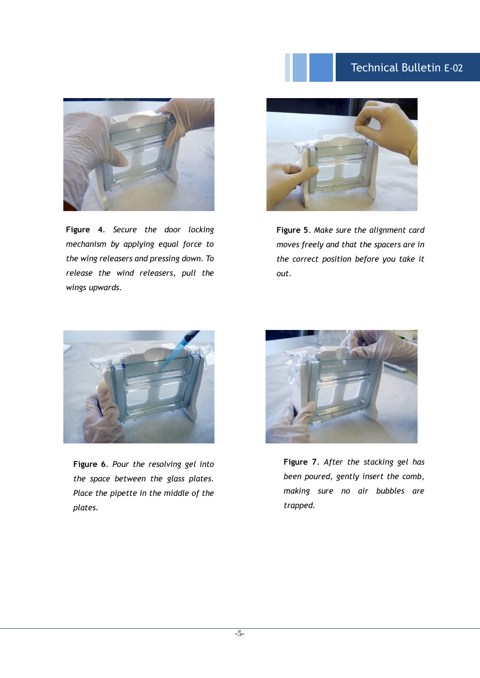# Technical Bulletin E-02



**Figure 4**. *Secure the door locking mechanism by applying equal force to the wing releasers and pressing down. To release the wind releasers, pull the wings upwards.*



**Figure 5**. *Make sure the alignment card moves freely and that the spacers are in the correct position before you take it out.*



**Figure 6**. *Pour the resolving gel into the space between the glass plates. Place the pipette in the middle of the plates.*



**Figure 7**. *After the stacking gel has been poured, gently insert the comb, making sure no air bubbles are trapped.*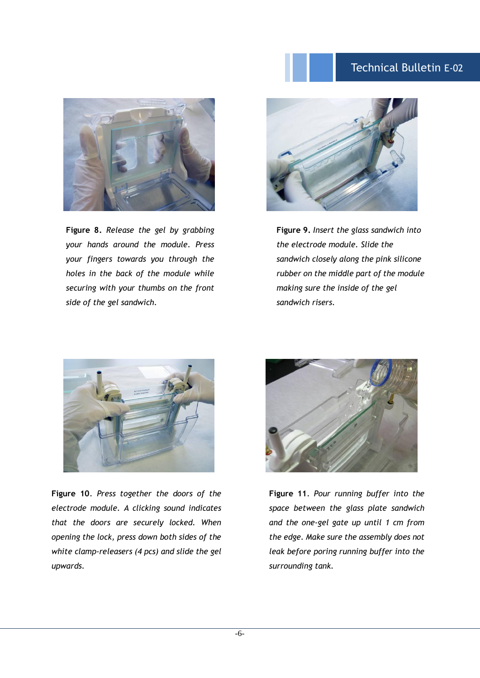## Technical Bulletin E-02



**Figure 8.** *Release the gel by grabbing your hands around the module. Press your fingers towards you through the holes in the back of the module while securing with your thumbs on the front side of the gel sandwich.*



**Figure 9.** *Insert the glass sandwich into the electrode module. Slide the sandwich closely along the pink silicone rubber on the middle part of the module making sure the inside of the gel sandwich risers.*



**Figure 10**. *Press together the doors of the electrode module. A clicking sound indicates that the doors are securely locked. When opening the lock, press down both sides of the white clamp-releasers (4 pcs) and slide the gel upwards.*



**Figure 11**. *Pour running buffer into the space between the glass plate sandwich and the one-gel gate up until 1 cm from the edge. Make sure the assembly does not leak before poring running buffer into the surrounding tank.*